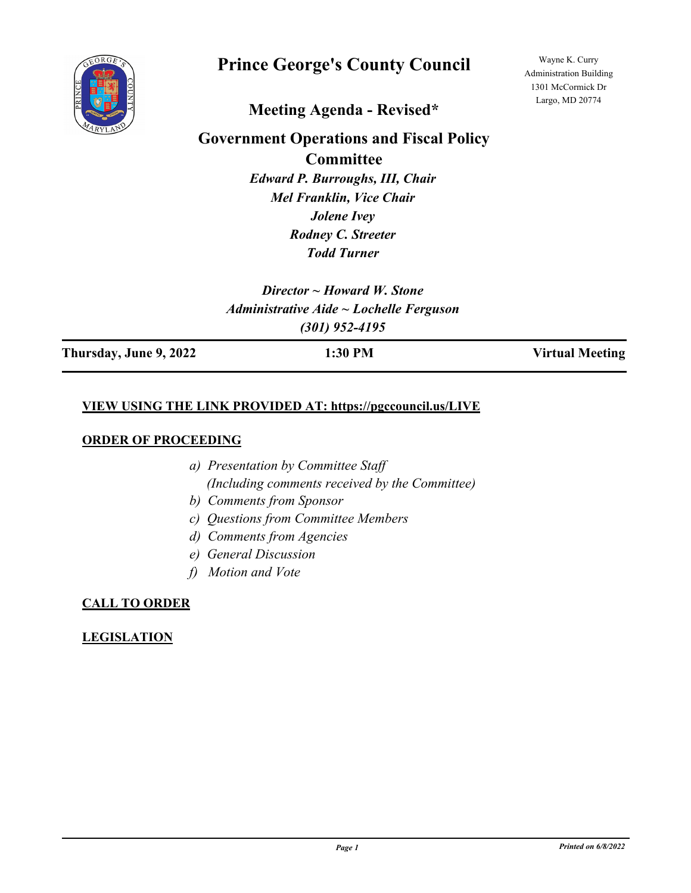

# **Prince George's County Council**

Wayne K. Curry Administration Building 1301 McCormick Dr Largo, MD 20774

# **Meeting Agenda - Revised\***

# **Government Operations and Fiscal Policy**

**Committee**

*Edward P. Burroughs, III, Chair Mel Franklin, Vice Chair Jolene Ivey Rodney C. Streeter Todd Turner*

*Director ~ Howard W. Stone Administrative Aide ~ Lochelle Ferguson (301) 952-4195*

**Thursday, June 9, 2022 1:30 PM Virtual Meeting**

### **VIEW USING THE LINK PROVIDED AT: https://pgccouncil.us/LIVE**

#### **ORDER OF PROCEEDING**

- *a) Presentation by Committee Staff (Including comments received by the Committee)*
- *b) Comments from Sponsor*
- *c) Questions from Committee Members*
- *d) Comments from Agencies*
- *e) General Discussion*
- *f) Motion and Vote*

# **CALL TO ORDER**

# **LEGISLATION**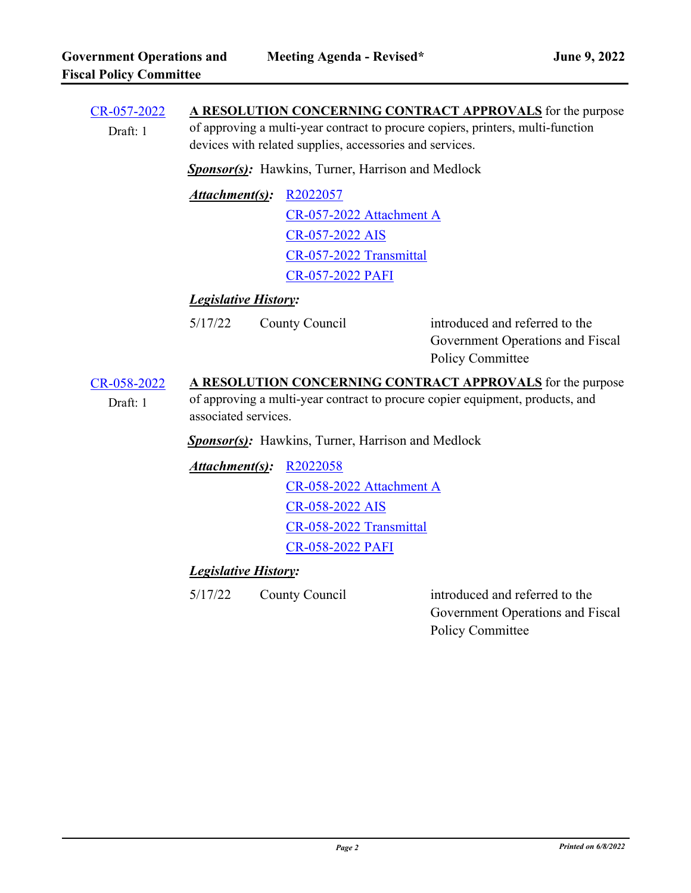| <b>Sponsor(s):</b> Hawkins, Turner, Harrison and Medlock                                                                                                            |                          |                                                                                                                                                                                                                                                                                 |
|---------------------------------------------------------------------------------------------------------------------------------------------------------------------|--------------------------|---------------------------------------------------------------------------------------------------------------------------------------------------------------------------------------------------------------------------------------------------------------------------------|
| Attachment(s):                                                                                                                                                      | R2022057                 |                                                                                                                                                                                                                                                                                 |
|                                                                                                                                                                     | CR-057-2022 Attachment A |                                                                                                                                                                                                                                                                                 |
|                                                                                                                                                                     | CR-057-2022 AIS          |                                                                                                                                                                                                                                                                                 |
|                                                                                                                                                                     | CR-057-2022 Transmittal  |                                                                                                                                                                                                                                                                                 |
|                                                                                                                                                                     | <b>CR-057-2022 PAFI</b>  |                                                                                                                                                                                                                                                                                 |
| <b>Legislative History:</b>                                                                                                                                         |                          |                                                                                                                                                                                                                                                                                 |
| 5/17/22                                                                                                                                                             |                          | introduced and referred to the<br>Government Operations and Fiscal<br>Policy Committee                                                                                                                                                                                          |
| A RESOLUTION CONCERNING CONTRACT APPROVALS for the purpose<br>of approving a multi-year contract to procure copier equipment, products, and<br>associated services. |                          |                                                                                                                                                                                                                                                                                 |
| <b>Sponsor(s):</b> Hawkins, Turner, Harrison and Medlock                                                                                                            |                          |                                                                                                                                                                                                                                                                                 |
|                                                                                                                                                                     |                          |                                                                                                                                                                                                                                                                                 |
|                                                                                                                                                                     | CR-058-2022 Attachment A |                                                                                                                                                                                                                                                                                 |
|                                                                                                                                                                     | CR-058-2022 AIS          |                                                                                                                                                                                                                                                                                 |
|                                                                                                                                                                     | CR-058-2022 Transmittal  |                                                                                                                                                                                                                                                                                 |
|                                                                                                                                                                     | <b>CR-058-2022 PAFI</b>  |                                                                                                                                                                                                                                                                                 |
| <b>Legislative History:</b>                                                                                                                                         |                          |                                                                                                                                                                                                                                                                                 |
| 5/17/22                                                                                                                                                             |                          | introduced and referred to the<br>Government Operations and Fiscal<br><b>Policy Committee</b>                                                                                                                                                                                   |
|                                                                                                                                                                     |                          | A RESOLUTION CONCERNING CONTRACT APPROVALS for the purpose<br>of approving a multi-year contract to procure copiers, printers, multi-function<br>devices with related supplies, accessories and services.<br>County Council<br><b>Attachment(s): R2022058</b><br>County Council |